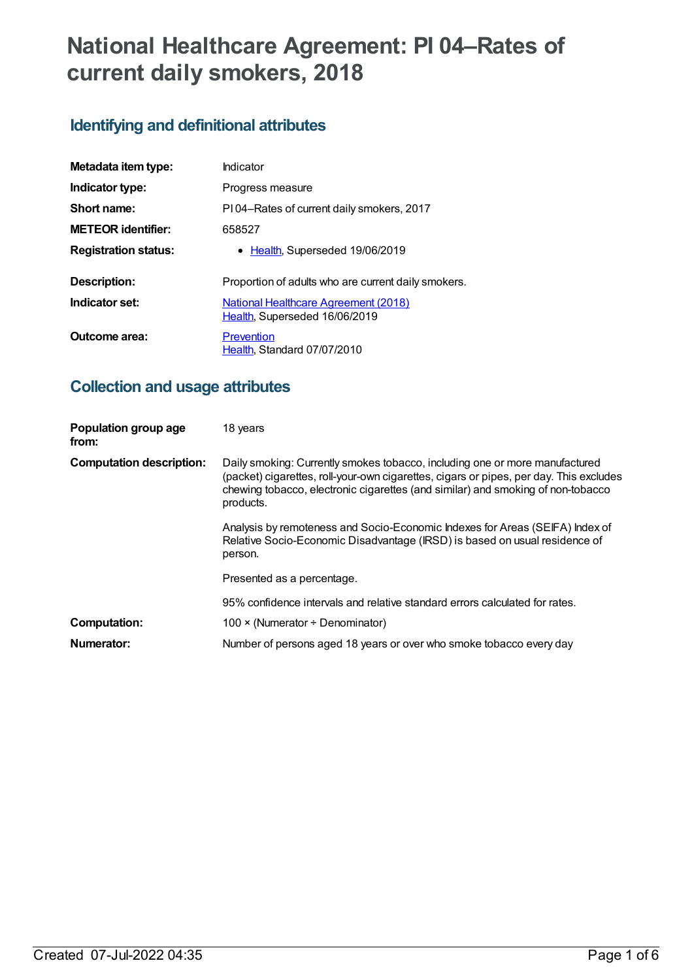# **National Healthcare Agreement: PI 04–Rates of current daily smokers, 2018**

# **Identifying and definitional attributes**

| Metadata item type:         | Indicator                                                             |  |
|-----------------------------|-----------------------------------------------------------------------|--|
| Indicator type:             | Progress measure                                                      |  |
| Short name:                 | PI04-Rates of current daily smokers, 2017                             |  |
| <b>METEOR identifier:</b>   | 658527                                                                |  |
| <b>Registration status:</b> | • Health, Superseded 19/06/2019                                       |  |
| Description:                | Proportion of adults who are current daily smokers.                   |  |
| Indicator set:              | National Healthcare Agreement (2018)<br>Health, Superseded 16/06/2019 |  |
| Outcome area:               | Prevention<br>Health, Standard 07/07/2010                             |  |

# **Collection and usage attributes**

| Population group age<br>from:   | 18 years                                                                                                                                                                                                                                                              |
|---------------------------------|-----------------------------------------------------------------------------------------------------------------------------------------------------------------------------------------------------------------------------------------------------------------------|
| <b>Computation description:</b> | Daily smoking: Currently smokes tobacco, including one or more manufactured<br>(packet) cigarettes, roll-your-own cigarettes, cigars or pipes, per day. This excludes<br>chewing tobacco, electronic cigarettes (and similar) and smoking of non-tobacco<br>products. |
|                                 | Analysis by remoteness and Socio-Economic Indexes for Areas (SEIFA) Index of<br>Relative Socio-Economic Disadvantage (IRSD) is based on usual residence of<br>person.                                                                                                 |
|                                 | Presented as a percentage.                                                                                                                                                                                                                                            |
|                                 | 95% confidence intervals and relative standard errors calculated for rates.                                                                                                                                                                                           |
| <b>Computation:</b>             | 100 $\times$ (Numerator ÷ Denominator)                                                                                                                                                                                                                                |
| Numerator:                      | Number of persons aged 18 years or over who smoke tobacco every day                                                                                                                                                                                                   |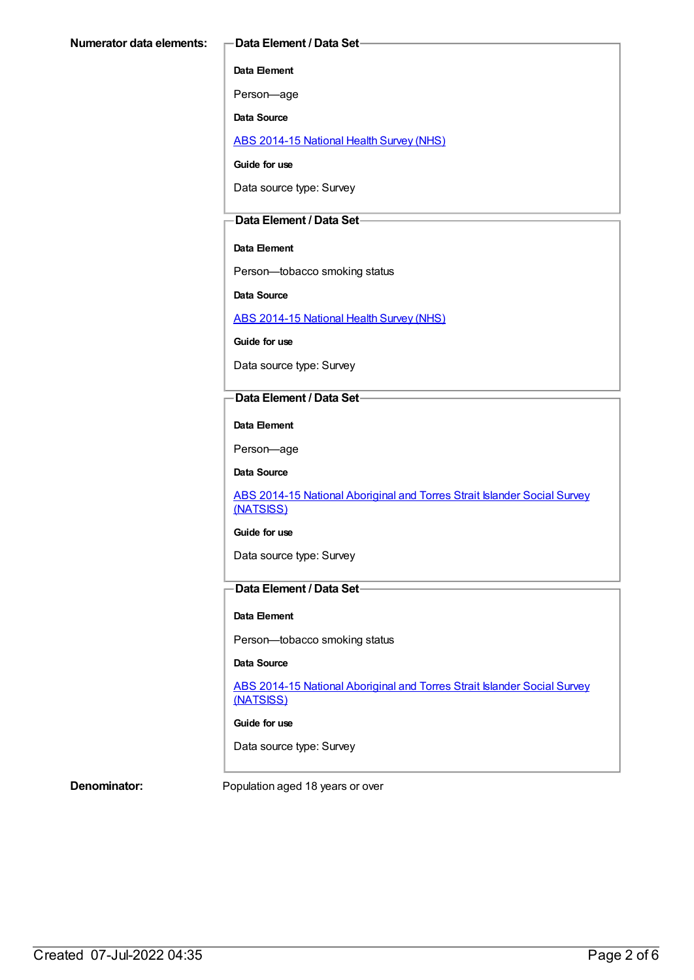#### **Data Element**

Person—age

**Data Source**

ABS [2014-15](https://meteor.aihw.gov.au/content/644695) National Health Survey (NHS)

**Guide for use**

Data source type: Survey

### **Data Element / Data Set**

#### **Data Element**

Person—tobacco smoking status

**Data Source**

ABS [2014-15](https://meteor.aihw.gov.au/content/644695) National Health Survey (NHS)

**Guide for use**

Data source type: Survey

#### **Data Element / Data Set**

**Data Element**

Person—age

**Data Source**

ABS 2014-15 National [Aboriginal](https://meteor.aihw.gov.au/content/644707) and Torres Strait Islander Social Survey (NATSISS)

#### **Guide for use**

Data source type: Survey

## **Data Element / Data Set**

#### **Data Element**

Person—tobacco smoking status

#### **Data Source**

ABS 2014-15 National [Aboriginal](https://meteor.aihw.gov.au/content/644707) and Torres Strait Islander Social Survey (NATSISS)

**Guide for use**

Data source type: Survey

**Denominator:** Population aged 18 years or over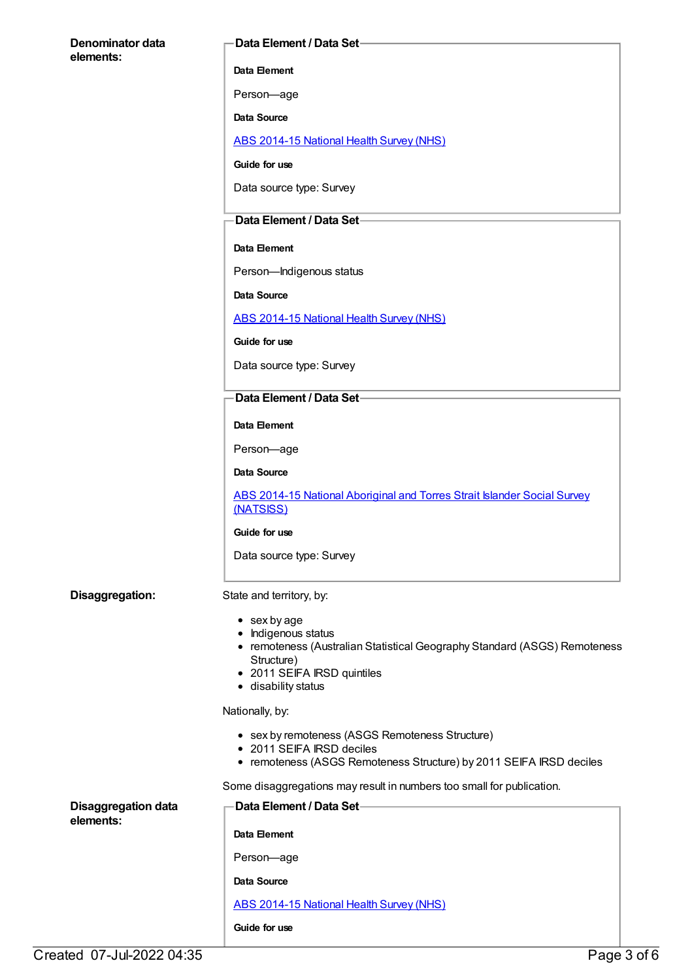| <b>Denominator data</b><br>elements:    | Data Element / Data Set-                                                                         |
|-----------------------------------------|--------------------------------------------------------------------------------------------------|
|                                         | Data Element                                                                                     |
|                                         | Person-age                                                                                       |
|                                         | Data Source                                                                                      |
|                                         | <b>ABS 2014-15 National Health Survey (NHS)</b>                                                  |
|                                         | Guide for use                                                                                    |
|                                         | Data source type: Survey                                                                         |
|                                         | Data Element / Data Set-                                                                         |
|                                         | Data Element                                                                                     |
|                                         | Person-Indigenous status                                                                         |
|                                         | Data Source                                                                                      |
|                                         | <b>ABS 2014-15 National Health Survey (NHS)</b>                                                  |
|                                         | Guide for use                                                                                    |
|                                         | Data source type: Survey                                                                         |
|                                         | Data Element / Data Set-                                                                         |
|                                         | Data Element                                                                                     |
|                                         | Person-age                                                                                       |
|                                         | <b>Data Source</b>                                                                               |
|                                         | ABS 2014-15 National Aboriginal and Torres Strait Islander Social Survey<br>(NATSISS)            |
|                                         | Guide for use                                                                                    |
|                                         | Data source type: Survey                                                                         |
| Disaggregation:                         | State and territory, by:                                                                         |
|                                         | $\bullet$ sex by age                                                                             |
|                                         | • Indigenous status<br>• remoteness (Australian Statistical Geography Standard (ASGS) Remoteness |
|                                         | Structure)<br>• 2011 SEIFA IRSD quintiles                                                        |
|                                         | • disability status                                                                              |
|                                         | Nationally, by:                                                                                  |
|                                         | • sex by remoteness (ASGS Remoteness Structure)<br>• 2011 SEIFA IRSD deciles                     |
|                                         | • remoteness (ASGS Remoteness Structure) by 2011 SEIFA IRSD deciles                              |
|                                         | Some disaggregations may result in numbers too small for publication.                            |
| <b>Disaggregation data</b><br>elements: | Data Element / Data Set-                                                                         |
|                                         | Data Element                                                                                     |
|                                         | Person-age                                                                                       |
|                                         | Data Source                                                                                      |
|                                         | ABS 2014-15 National Health Survey (NHS)                                                         |
|                                         | Guide for use                                                                                    |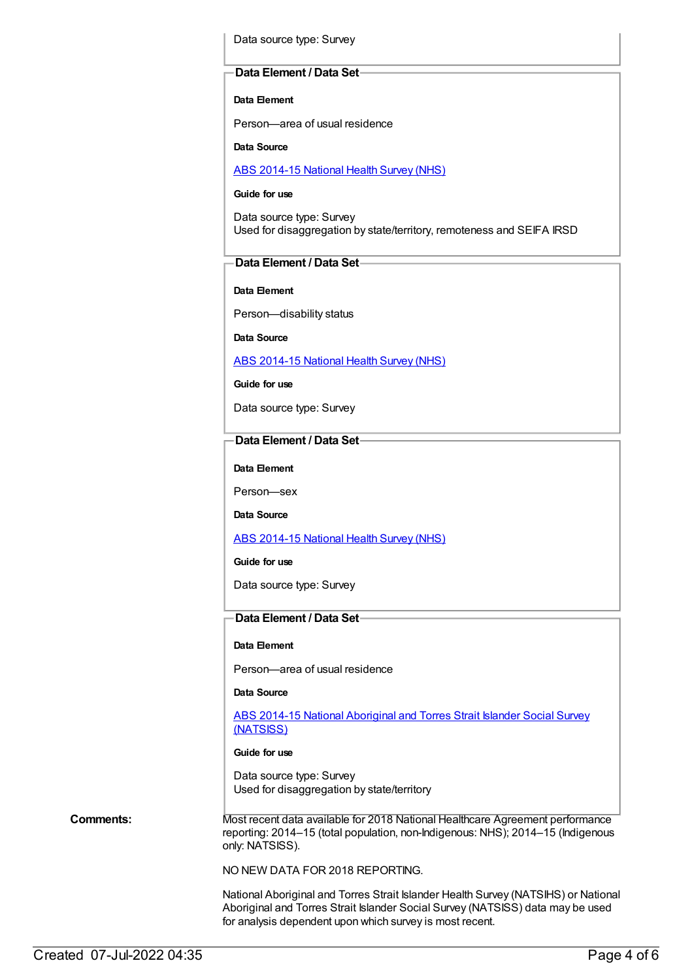Data source type: Survey

#### **Data Element / Data Set**

**Data Element**

Person—area of usual residence

**Data Source**

ABS [2014-15](https://meteor.aihw.gov.au/content/644695) National Health Survey (NHS)

**Guide for use**

Data source type: Survey Used for disaggregation by state/territory, remoteness and SEIFA IRSD

### **Data Element / Data Set**

**Data Element**

Person—disability status

**Data Source**

ABS [2014-15](https://meteor.aihw.gov.au/content/644695) National Health Survey (NHS)

**Guide for use**

Data source type: Survey

#### **Data Element / Data Set**

**Data Element**

Person—sex

**Data Source**

ABS [2014-15](https://meteor.aihw.gov.au/content/644695) National Health Survey (NHS)

**Guide for use**

Data source type: Survey

### **Data Element / Data Set**

### **Data Element**

Person—area of usual residence

**Data Source**

ABS 2014-15 National [Aboriginal](https://meteor.aihw.gov.au/content/644707) and Torres Strait Islander Social Survey (NATSISS)

#### **Guide for use**

Data source type: Survey Used for disaggregation by state/territory

**Comments:** Most recent data available for 2018 National Healthcare Agreement performance reporting: 2014–15 (total population, non-Indigenous: NHS); 2014–15 (Indigenous only: NATSISS).

NO NEW DATA FOR 2018 REPORTING.

National Aboriginal and Torres Strait Islander Health Survey (NATSIHS) or National Aboriginal and Torres Strait Islander Social Survey (NATSISS) data may be used for analysis dependent upon which survey is most recent.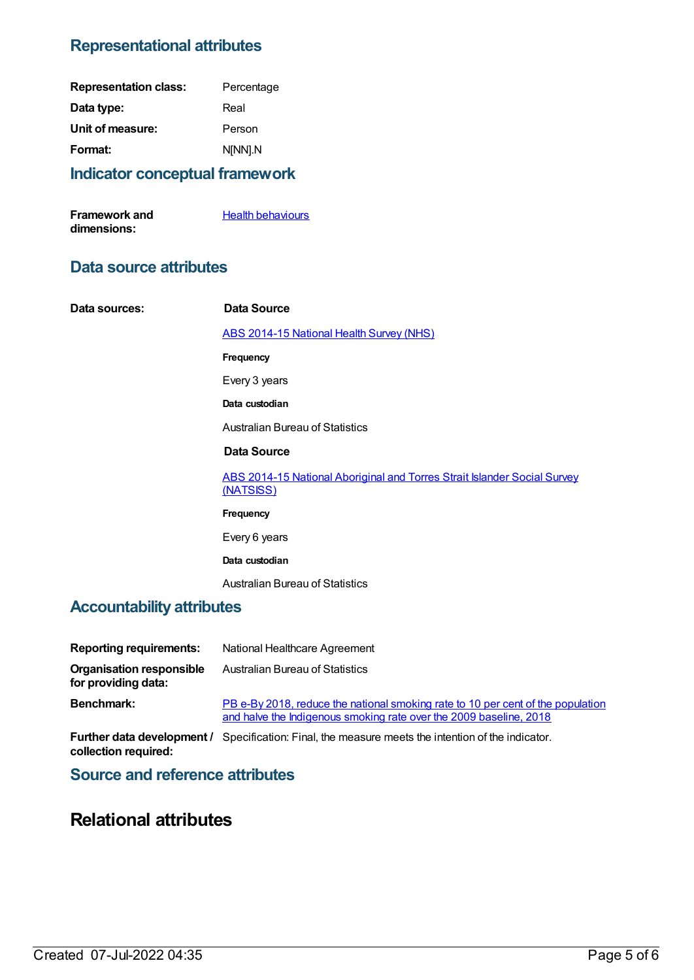## **Representational attributes**

| <b>Indicator conceptual framework</b> |            |
|---------------------------------------|------------|
| Format:                               | N[NN].N    |
| Unit of measure:                      | Person     |
| Data type:                            | Real       |
| <b>Representation class:</b>          | Percentage |

| Framework and | <b>Health behaviours</b> |
|---------------|--------------------------|
| dimensions:   |                          |

## **Data source attributes**

| Data sources:             | Data Source                                                                                  |
|---------------------------|----------------------------------------------------------------------------------------------|
|                           | <b>ABS 2014-15 National Health Survey (NHS)</b>                                              |
|                           | Frequency                                                                                    |
|                           | Every 3 years                                                                                |
|                           | Data custodian                                                                               |
|                           | <b>Australian Bureau of Statistics</b>                                                       |
|                           | Data Source                                                                                  |
|                           | <b>ABS 2014-15 National Aboriginal and Torres Strait Islander Social Survey</b><br>(NATSISS) |
|                           | Frequency                                                                                    |
|                           | Every 6 years                                                                                |
|                           | Data custodian                                                                               |
|                           | <b>Australian Bureau of Statistics</b>                                                       |
| Accountability attributes |                                                                                              |

## **Accountability attributes**

| <b>Reporting requirements:</b>                         | National Healthcare Agreement                                                                                                                         |
|--------------------------------------------------------|-------------------------------------------------------------------------------------------------------------------------------------------------------|
| <b>Organisation responsible</b><br>for providing data: | Australian Bureau of Statistics                                                                                                                       |
| <b>Benchmark:</b>                                      | PB e-By 2018, reduce the national smoking rate to 10 per cent of the population<br>and halve the Indigenous smoking rate over the 2009 baseline, 2018 |

**Further data development /** Specification: Final, the measure meets the intention of the indicator. **collection required:**

**Source and reference attributes**

# **Relational attributes**